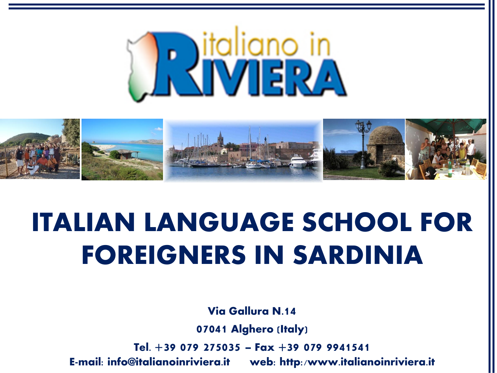



# **ITALIAN LANGUAGE SCHOOL FOR FOREIGNERS IN SARDINIA**

**Via Gallura N.14**

**07041 Alghero (Italy)**

**Tel. +39 079 275035 – Fax +39 079 9941541**

**E-mail: info@italianoinriviera.it web: http:/www.italianoinriviera.it**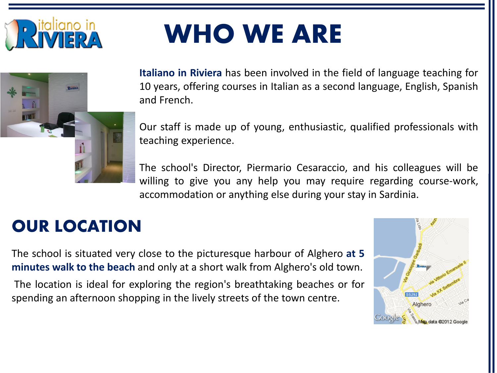# liano ir

# **WHO WE ARE**



**Italiano in Riviera** has been involved in the field of language teaching for 10 years, offering courses in Italian as a second language, English, Spanish and French.

Our staff is made up of young, enthusiastic, qualified professionals with teaching experience.

The school's Director, Piermario Cesaraccio, and his colleagues will be willing to give you any help you may require regarding course-work, accommodation or anything else during your stay in Sardinia.

### **OUR LOCATION**

The school is situated very close to the picturesque harbour of Alghero **at 5 minutes walk to the beach** and only at a short walk from Alghero's old town.

The location is ideal for exploring the region's breathtaking beaches or for spending an afternoon shopping in the lively streets of the town centre.

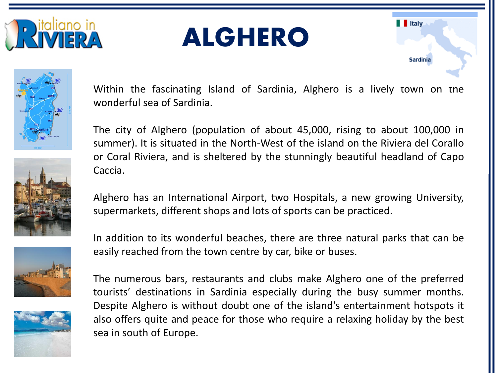

### **ALGHERO**









Within the fascinating Island of Sardinia, Alghero is a lively town on the wonderful sea of Sardinia.

 $\blacksquare$ Italy

**Sardinia** 

The city of Alghero (population of about 45,000, rising to about 100,000 in summer). It is situated in the North-West of the island on the Riviera del Corallo or Coral Riviera, and is sheltered by the stunningly beautiful headland of Capo Caccia.

Alghero has an International Airport, two Hospitals, a new growing University, supermarkets, different shops and lots of sports can be practiced.

In addition to its wonderful beaches, there are three natural parks that can be easily reached from the town centre by car, bike or buses.

The numerous bars, restaurants and clubs make Alghero one of the preferred tourists' destinations in Sardinia especially during the busy summer months. Despite Alghero is without doubt one of the island's entertainment hotspots it also offers quite and peace for those who require a relaxing holiday by the best sea in south of Europe.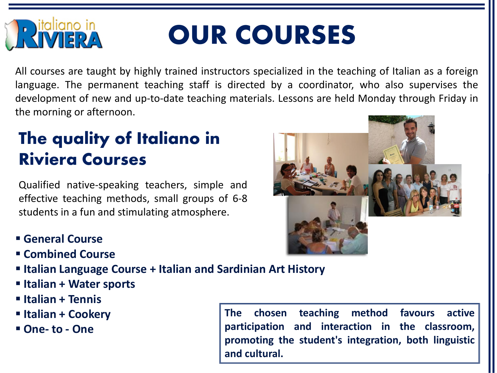# **italiano in**<br>**ERA**

# **OUR COURSES**

All courses are taught by highly trained instructors specialized in the teaching of Italian as a foreign language. The permanent teaching staff is directed by a coordinator, who also supervises the development of new and up-to-date teaching materials. Lessons are held Monday through Friday in the morning or afternoon.

#### **The quality of Italiano in Riviera Courses**

Qualified native-speaking teachers, simple and effective teaching methods, small groups of 6-8 students in a fun and stimulating atmosphere.

- **General Course**
- **Combined Course**
- **Italian Language Course + Italian and Sardinian Art History**
- **Italian + Water sports**
- **Italian + Tennis**
- **Italian + Cookery**
- **One- to - One**

**The chosen teaching method favours active participation and interaction in the classroom, promoting the student's integration, both linguistic and cultural.**